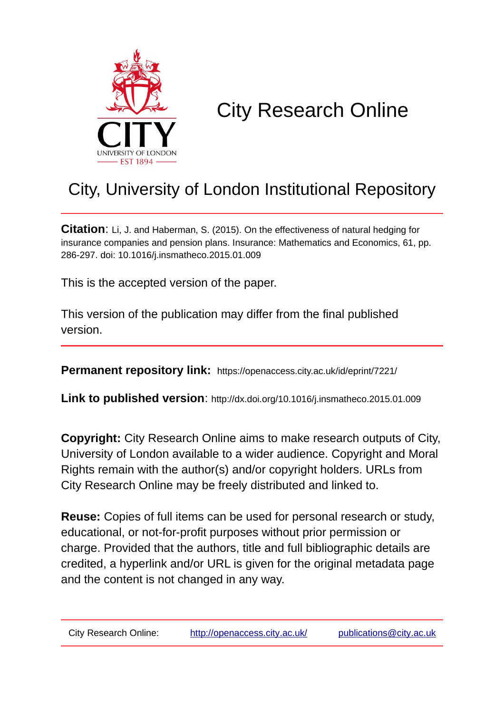

# City Research Online

## City, University of London Institutional Repository

**Citation**: Li, J. and Haberman, S. (2015). On the effectiveness of natural hedging for insurance companies and pension plans. Insurance: Mathematics and Economics, 61, pp. 286-297. doi: 10.1016/j.insmatheco.2015.01.009

This is the accepted version of the paper.

This version of the publication may differ from the final published version.

**Permanent repository link:** https://openaccess.city.ac.uk/id/eprint/7221/

**Link to published version**: http://dx.doi.org/10.1016/j.insmatheco.2015.01.009

**Copyright:** City Research Online aims to make research outputs of City, University of London available to a wider audience. Copyright and Moral Rights remain with the author(s) and/or copyright holders. URLs from City Research Online may be freely distributed and linked to.

**Reuse:** Copies of full items can be used for personal research or study, educational, or not-for-profit purposes without prior permission or charge. Provided that the authors, title and full bibliographic details are credited, a hyperlink and/or URL is given for the original metadata page and the content is not changed in any way.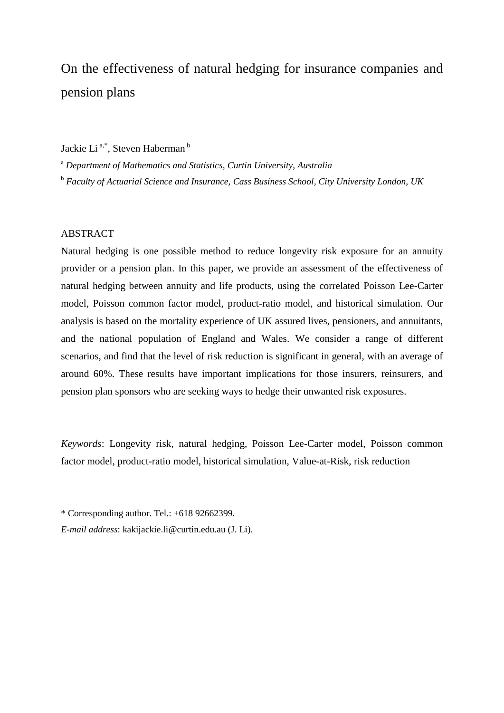## On the effectiveness of natural hedging for insurance companies and pension plans

Jackie Li<sup>a,\*</sup>, Steven Haberman<sup>b</sup>

<sup>a</sup> *Department of Mathematics and Statistics, Curtin University, Australia*

<sup>b</sup> *Faculty of Actuarial Science and Insurance, Cass Business School, City University London, UK*

#### ABSTRACT

Natural hedging is one possible method to reduce longevity risk exposure for an annuity provider or a pension plan. In this paper, we provide an assessment of the effectiveness of natural hedging between annuity and life products, using the correlated Poisson Lee-Carter model, Poisson common factor model, product-ratio model, and historical simulation. Our analysis is based on the mortality experience of UK assured lives, pensioners, and annuitants, and the national population of England and Wales. We consider a range of different scenarios, and find that the level of risk reduction is significant in general, with an average of around 60%. These results have important implications for those insurers, reinsurers, and pension plan sponsors who are seeking ways to hedge their unwanted risk exposures.

*Keywords*: Longevity risk, natural hedging, Poisson Lee-Carter model, Poisson common factor model, product-ratio model, historical simulation, Value-at-Risk, risk reduction

<sup>\*</sup> Corresponding author. Tel.: +618 92662399.

*E-mail address*: kakijackie.li@curtin.edu.au (J. Li).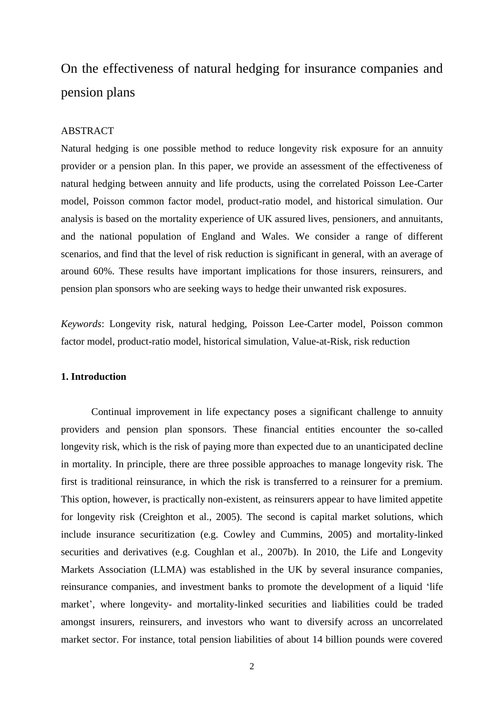### On the effectiveness of natural hedging for insurance companies and pension plans

#### ABSTRACT

Natural hedging is one possible method to reduce longevity risk exposure for an annuity provider or a pension plan. In this paper, we provide an assessment of the effectiveness of natural hedging between annuity and life products, using the correlated Poisson Lee-Carter model, Poisson common factor model, product-ratio model, and historical simulation. Our analysis is based on the mortality experience of UK assured lives, pensioners, and annuitants, and the national population of England and Wales. We consider a range of different scenarios, and find that the level of risk reduction is significant in general, with an average of around 60%. These results have important implications for those insurers, reinsurers, and pension plan sponsors who are seeking ways to hedge their unwanted risk exposures.

*Keywords*: Longevity risk, natural hedging, Poisson Lee-Carter model, Poisson common factor model, product-ratio model, historical simulation, Value-at-Risk, risk reduction

#### **1. Introduction**

Continual improvement in life expectancy poses a significant challenge to annuity providers and pension plan sponsors. These financial entities encounter the so-called longevity risk, which is the risk of paying more than expected due to an unanticipated decline in mortality. In principle, there are three possible approaches to manage longevity risk. The first is traditional reinsurance, in which the risk is transferred to a reinsurer for a premium. This option, however, is practically non-existent, as reinsurers appear to have limited appetite for longevity risk (Creighton et al., 2005). The second is capital market solutions, which include insurance securitization (e.g. Cowley and Cummins, 2005) and mortality-linked securities and derivatives (e.g. Coughlan et al., 2007b). In 2010, the Life and Longevity Markets Association (LLMA) was established in the UK by several insurance companies, reinsurance companies, and investment banks to promote the development of a liquid 'life market', where longevity- and mortality-linked securities and liabilities could be traded amongst insurers, reinsurers, and investors who want to diversify across an uncorrelated market sector. For instance, total pension liabilities of about 14 billion pounds were covered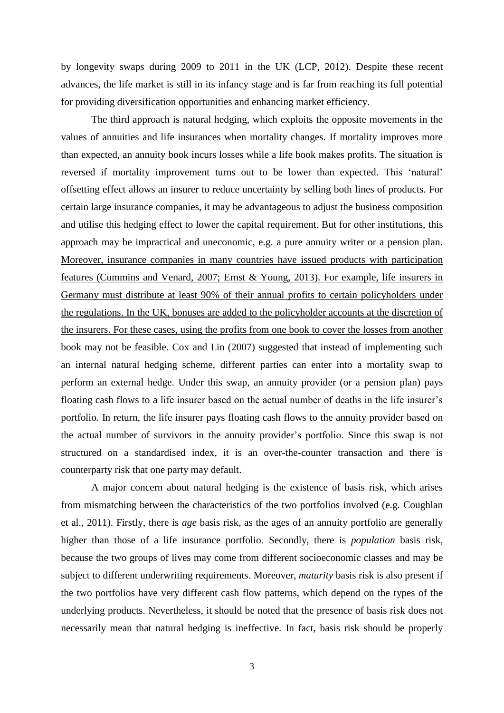by longevity swaps during 2009 to 2011 in the UK (LCP, 2012). Despite these recent advances, the life market is still in its infancy stage and is far from reaching its full potential for providing diversification opportunities and enhancing market efficiency.

The third approach is natural hedging, which exploits the opposite movements in the values of annuities and life insurances when mortality changes. If mortality improves more than expected, an annuity book incurs losses while a life book makes profits. The situation is reversed if mortality improvement turns out to be lower than expected. This 'natural' offsetting effect allows an insurer to reduce uncertainty by selling both lines of products. For certain large insurance companies, it may be advantageous to adjust the business composition and utilise this hedging effect to lower the capital requirement. But for other institutions, this approach may be impractical and uneconomic, e.g. a pure annuity writer or a pension plan. Moreover, insurance companies in many countries have issued products with participation features (Cummins and Venard, 2007; Ernst & Young, 2013). For example, life insurers in Germany must distribute at least 90% of their annual profits to certain policyholders under the regulations. In the UK, bonuses are added to the policyholder accounts at the discretion of the insurers. For these cases, using the profits from one book to cover the losses from another book may not be feasible. Cox and Lin (2007) suggested that instead of implementing such an internal natural hedging scheme, different parties can enter into a mortality swap to perform an external hedge. Under this swap, an annuity provider (or a pension plan) pays floating cash flows to a life insurer based on the actual number of deaths in the life insurer's portfolio. In return, the life insurer pays floating cash flows to the annuity provider based on the actual number of survivors in the annuity provider's portfolio. Since this swap is not structured on a standardised index, it is an over-the-counter transaction and there is counterparty risk that one party may default.

A major concern about natural hedging is the existence of basis risk, which arises from mismatching between the characteristics of the two portfolios involved (e.g. Coughlan et al., 2011). Firstly, there is *age* basis risk, as the ages of an annuity portfolio are generally higher than those of a life insurance portfolio. Secondly, there is *population* basis risk, because the two groups of lives may come from different socioeconomic classes and may be subject to different underwriting requirements. Moreover, *maturity* basis risk is also present if the two portfolios have very different cash flow patterns, which depend on the types of the underlying products. Nevertheless, it should be noted that the presence of basis risk does not necessarily mean that natural hedging is ineffective. In fact, basis risk should be properly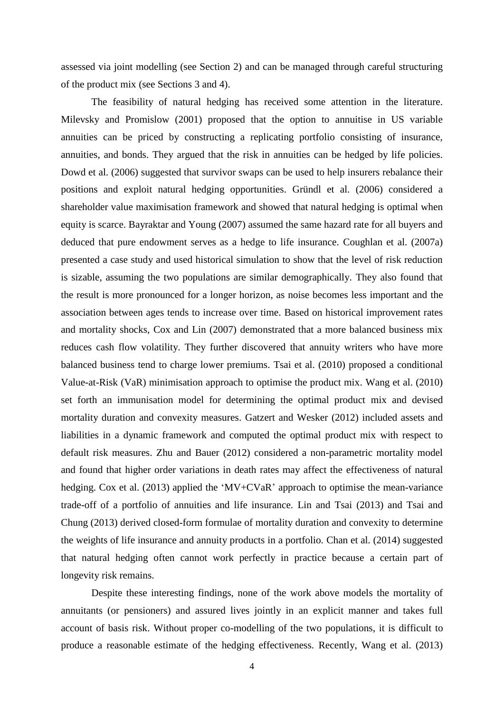assessed via joint modelling (see Section 2) and can be managed through careful structuring of the product mix (see Sections 3 and 4).

The feasibility of natural hedging has received some attention in the literature. Milevsky and Promislow (2001) proposed that the option to annuitise in US variable annuities can be priced by constructing a replicating portfolio consisting of insurance, annuities, and bonds. They argued that the risk in annuities can be hedged by life policies. Dowd et al. (2006) suggested that survivor swaps can be used to help insurers rebalance their positions and exploit natural hedging opportunities. Gründl et al. (2006) considered a shareholder value maximisation framework and showed that natural hedging is optimal when equity is scarce. Bayraktar and Young (2007) assumed the same hazard rate for all buyers and deduced that pure endowment serves as a hedge to life insurance. Coughlan et al. (2007a) presented a case study and used historical simulation to show that the level of risk reduction is sizable, assuming the two populations are similar demographically. They also found that the result is more pronounced for a longer horizon, as noise becomes less important and the association between ages tends to increase over time. Based on historical improvement rates and mortality shocks, Cox and Lin (2007) demonstrated that a more balanced business mix reduces cash flow volatility. They further discovered that annuity writers who have more balanced business tend to charge lower premiums. Tsai et al. (2010) proposed a conditional Value-at-Risk (VaR) minimisation approach to optimise the product mix. Wang et al. (2010) set forth an immunisation model for determining the optimal product mix and devised mortality duration and convexity measures. Gatzert and Wesker (2012) included assets and liabilities in a dynamic framework and computed the optimal product mix with respect to default risk measures. Zhu and Bauer (2012) considered a non-parametric mortality model and found that higher order variations in death rates may affect the effectiveness of natural hedging. Cox et al. (2013) applied the 'MV+CVaR' approach to optimise the mean-variance trade-off of a portfolio of annuities and life insurance. Lin and Tsai (2013) and Tsai and Chung (2013) derived closed-form formulae of mortality duration and convexity to determine the weights of life insurance and annuity products in a portfolio. Chan et al. (2014) suggested that natural hedging often cannot work perfectly in practice because a certain part of longevity risk remains.

Despite these interesting findings, none of the work above models the mortality of annuitants (or pensioners) and assured lives jointly in an explicit manner and takes full account of basis risk. Without proper co-modelling of the two populations, it is difficult to produce a reasonable estimate of the hedging effectiveness. Recently, Wang et al. (2013)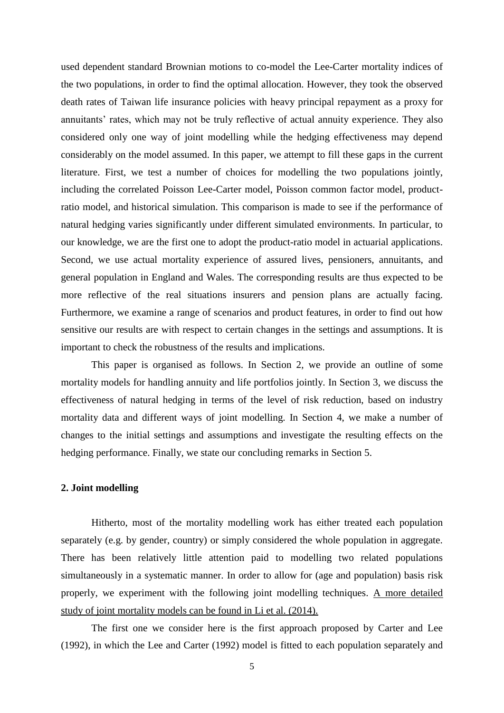used dependent standard Brownian motions to co-model the Lee-Carter mortality indices of the two populations, in order to find the optimal allocation. However, they took the observed death rates of Taiwan life insurance policies with heavy principal repayment as a proxy for annuitants' rates, which may not be truly reflective of actual annuity experience. They also considered only one way of joint modelling while the hedging effectiveness may depend considerably on the model assumed. In this paper, we attempt to fill these gaps in the current literature. First, we test a number of choices for modelling the two populations jointly, including the correlated Poisson Lee-Carter model, Poisson common factor model, productratio model, and historical simulation. This comparison is made to see if the performance of natural hedging varies significantly under different simulated environments. In particular, to our knowledge, we are the first one to adopt the product-ratio model in actuarial applications. Second, we use actual mortality experience of assured lives, pensioners, annuitants, and general population in England and Wales. The corresponding results are thus expected to be more reflective of the real situations insurers and pension plans are actually facing. Furthermore, we examine a range of scenarios and product features, in order to find out how sensitive our results are with respect to certain changes in the settings and assumptions. It is important to check the robustness of the results and implications.

This paper is organised as follows. In Section 2, we provide an outline of some mortality models for handling annuity and life portfolios jointly. In Section 3, we discuss the effectiveness of natural hedging in terms of the level of risk reduction, based on industry mortality data and different ways of joint modelling. In Section 4, we make a number of changes to the initial settings and assumptions and investigate the resulting effects on the hedging performance. Finally, we state our concluding remarks in Section 5.

#### **2. Joint modelling**

Hitherto, most of the mortality modelling work has either treated each population separately (e.g. by gender, country) or simply considered the whole population in aggregate. There has been relatively little attention paid to modelling two related populations simultaneously in a systematic manner. In order to allow for (age and population) basis risk properly, we experiment with the following joint modelling techniques. A more detailed study of joint mortality models can be found in Li et al. (2014).

The first one we consider here is the first approach proposed by Carter and Lee (1992), in which the Lee and Carter (1992) model is fitted to each population separately and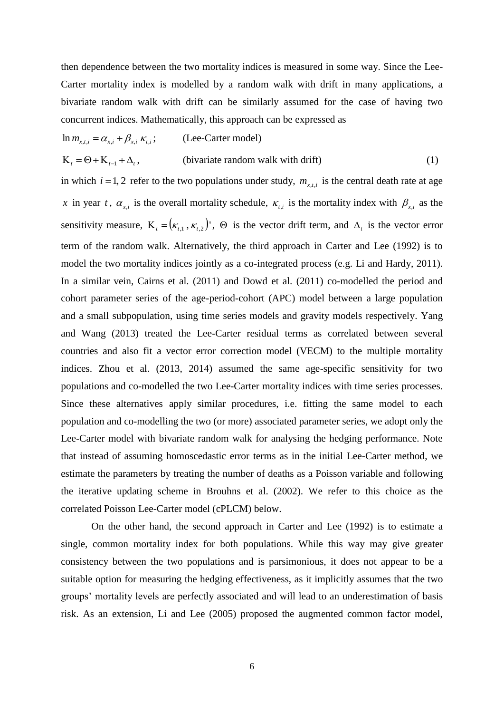then dependence between the two mortality indices is measured in some way. Since the Lee-Carter mortality index is modelled by a random walk with drift in many applications, a bivariate random walk with drift can be similarly assumed for the case of having two concurrent indices. Mathematically, this approach can be expressed as

$$
\ln m_{x,t,i} = \alpha_{x,i} + \beta_{x,i} \kappa_{t,i};
$$
 (Lee-Carter model)  

$$
K_t = \Theta + K_{t-1} + \Delta_t,
$$
 (bivariate random walk with drift) (1)

in which  $i = 1, 2$  refer to the two populations under study,  $m_{x,t,i}$  is the central death rate at age x in year t,  $\alpha_{x,i}$  is the overall mortality schedule,  $\kappa_{t,i}$  is the mortality index with  $\beta_{x,i}$  as the sensitivity measure,  $K_t = (\kappa_{t,1}, \kappa_{t,2})$ ,  $\Theta$  is the vector drift term, and  $\Delta_t$  is the vector error term of the random walk. Alternatively, the third approach in Carter and Lee (1992) is to model the two mortality indices jointly as a co-integrated process (e.g. Li and Hardy, 2011). In a similar vein, Cairns et al. (2011) and Dowd et al. (2011) co-modelled the period and cohort parameter series of the age-period-cohort (APC) model between a large population and a small subpopulation, using time series models and gravity models respectively. Yang and Wang (2013) treated the Lee-Carter residual terms as correlated between several countries and also fit a vector error correction model (VECM) to the multiple mortality indices. Zhou et al. (2013, 2014) assumed the same age-specific sensitivity for two populations and co-modelled the two Lee-Carter mortality indices with time series processes. Since these alternatives apply similar procedures, i.e. fitting the same model to each population and co-modelling the two (or more) associated parameter series, we adopt only the Lee-Carter model with bivariate random walk for analysing the hedging performance. Note that instead of assuming homoscedastic error terms as in the initial Lee-Carter method, we estimate the parameters by treating the number of deaths as a Poisson variable and following the iterative updating scheme in Brouhns et al. (2002). We refer to this choice as the correlated Poisson Lee-Carter model (cPLCM) below.

On the other hand, the second approach in Carter and Lee (1992) is to estimate a single, common mortality index for both populations. While this way may give greater consistency between the two populations and is parsimonious, it does not appear to be a suitable option for measuring the hedging effectiveness, as it implicitly assumes that the two groups' mortality levels are perfectly associated and will lead to an underestimation of basis risk. As an extension, Li and Lee (2005) proposed the augmented common factor model,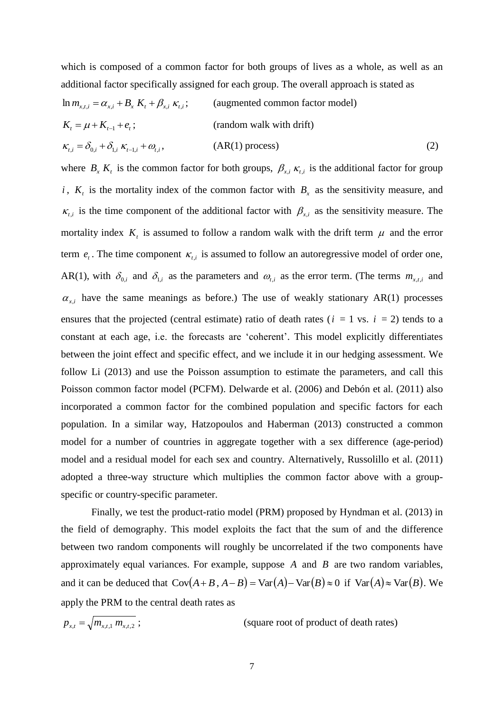which is composed of a common factor for both groups of lives as a whole, as well as an additional factor specifically assigned for each group. The overall approach is stated as

$$
\ln m_{x,t,i} = \alpha_{x,i} + B_x K_t + \beta_{x,i} K_{t,i};
$$
 (augmented common factor model)  
\n
$$
K_t = \mu + K_{t-1} + e_t;
$$
 (random walk with drift)  
\n
$$
\kappa_{t,i} = \delta_{0,i} + \delta_{1,i} K_{t-1,i} + \omega_{t,i},
$$
 (AR(1) process) (2)

where  $B_x K_t$  is the common factor for both groups,  $\beta_{x,i} K_{t,i}$  is the additional factor for group *i*,  $K_t$  is the mortality index of the common factor with  $B_x$  as the sensitivity measure, and  $\kappa_{t,i}$  is the time component of the additional factor with  $\beta_{x,i}$  as the sensitivity measure. The mortality index  $K<sub>t</sub>$  is assumed to follow a random walk with the drift term  $\mu$  and the error term  $e_t$ . The time component  $\kappa_{t,i}$  is assumed to follow an autoregressive model of order one, AR(1), with  $\delta_{0,i}$  and  $\delta_{1,i}$  as the parameters and  $\omega_{t,i}$  as the error term. (The terms  $m_{x,t,i}$  and  $\alpha_{x,i}$  have the same meanings as before.) The use of weakly stationary AR(1) processes ensures that the projected (central estimate) ratio of death rates  $(i = 1 \text{ vs. } i = 2)$  tends to a constant at each age, i.e. the forecasts are 'coherent'. This model explicitly differentiates between the joint effect and specific effect, and we include it in our hedging assessment. We follow Li (2013) and use the Poisson assumption to estimate the parameters, and call this Poisson common factor model (PCFM). Delwarde et al. (2006) and Debón et al. (2011) also incorporated a common factor for the combined population and specific factors for each population. In a similar way, Hatzopoulos and Haberman (2013) constructed a common model for a number of countries in aggregate together with a sex difference (age-period) model and a residual model for each sex and country. Alternatively, Russolillo et al. (2011) adopted a three-way structure which multiplies the common factor above with a groupspecific or country-specific parameter.

Finally, we test the product-ratio model (PRM) proposed by Hyndman et al. (2013) in the field of demography. This model exploits the fact that the sum of and the difference between two random components will roughly be uncorrelated if the two components have approximately equal variances. For example, suppose  $A$  and  $B$  are two random variables, and it can be deduced that  $Cov(A+B, A-B) = Var(A) - Var(B) \approx 0$  if  $Var(A) \approx Var(B)$ . We apply the PRM to the central death rates as

 $p_{x,t} = \sqrt{m_{x,t,1} m_{x,t,2}}$ ; (square root of product of death rates)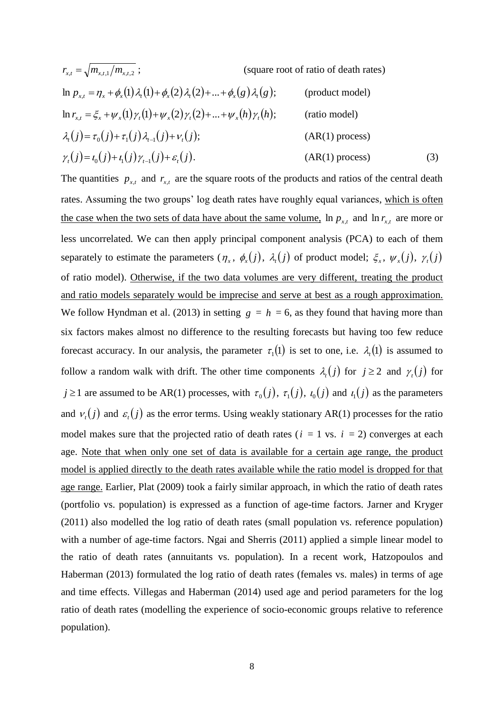| $r_{x,t} = \sqrt{m_{x,t,1}/m_{x,t,2}}$ ;                                                           | (square root of ratio of death rates) |     |
|----------------------------------------------------------------------------------------------------|---------------------------------------|-----|
| $\ln p_{x,t} = \eta_x + \phi_x(1)\lambda_t(1) + \phi_x(2)\lambda_t(2) +  + \phi_x(g)\lambda_t(g);$ | (product model)                       |     |
| $\ln r_{r} = \xi_r + \psi_r(1) \gamma_r(1) + \psi_r(2) \gamma_r(2) +  + \psi_r(h) \gamma_r(h);$    | (ratio model)                         |     |
| $\lambda_i(j) = \tau_0(j) + \tau_1(j)\lambda_{i-1}(j) + \nu_i(j);$                                 | $(AR(1)$ process)                     |     |
| $\gamma_t(j) = t_0(j) + t_1(j)\gamma_{t-1}(j) + \varepsilon_t(j).$                                 | $(AR(1)$ process)                     | (3) |

The quantities  $p_{x,t}$  and  $r_{x,t}$  are the square roots of the products and ratios of the central death rates. Assuming the two groups' log death rates have roughly equal variances, which is often the case when the two sets of data have about the same volume,  $\ln p_{x,t}$  and  $\ln r_{x,t}$  are more or less uncorrelated. We can then apply principal component analysis (PCA) to each of them separately to estimate the parameters  $(\eta_x, \phi_x(j), \lambda_i(j))$  of product model;  $\xi_x$ ,  $\psi_x(j)$ ,  $\gamma_i(j)$ of ratio model). Otherwise, if the two data volumes are very different, treating the product and ratio models separately would be imprecise and serve at best as a rough approximation. We follow Hyndman et al. (2013) in setting  $g = h = 6$ , as they found that having more than six factors makes almost no difference to the resulting forecasts but having too few reduce forecast accuracy. In our analysis, the parameter  $\tau_1(1)$  is set to one, i.e.  $\lambda_i(1)$  is assumed to follow a random walk with drift. The other time components  $\lambda_i(j)$  for  $j \ge 2$  and  $\gamma_i(j)$  for  $j \ge 1$  are assumed to be AR(1) processes, with  $\tau_0(j)$ ,  $\tau_1(j)$ ,  $\tau_0(j)$  and  $\tau_1(j)$  as the parameters and  $v_t(j)$  and  $\varepsilon_t(j)$  as the error terms. Using weakly stationary AR(1) processes for the ratio model makes sure that the projected ratio of death rates ( $i = 1$  vs.  $i = 2$ ) converges at each age. Note that when only one set of data is available for a certain age range, the product model is applied directly to the death rates available while the ratio model is dropped for that age range. Earlier, Plat (2009) took a fairly similar approach, in which the ratio of death rates (portfolio vs. population) is expressed as a function of age-time factors. Jarner and Kryger (2011) also modelled the log ratio of death rates (small population vs. reference population) with a number of age-time factors. Ngai and Sherris (2011) applied a simple linear model to the ratio of death rates (annuitants vs. population). In a recent work, Hatzopoulos and Haberman (2013) formulated the log ratio of death rates (females vs. males) in terms of age and time effects. Villegas and Haberman (2014) used age and period parameters for the log ratio of death rates (modelling the experience of socio-economic groups relative to reference population).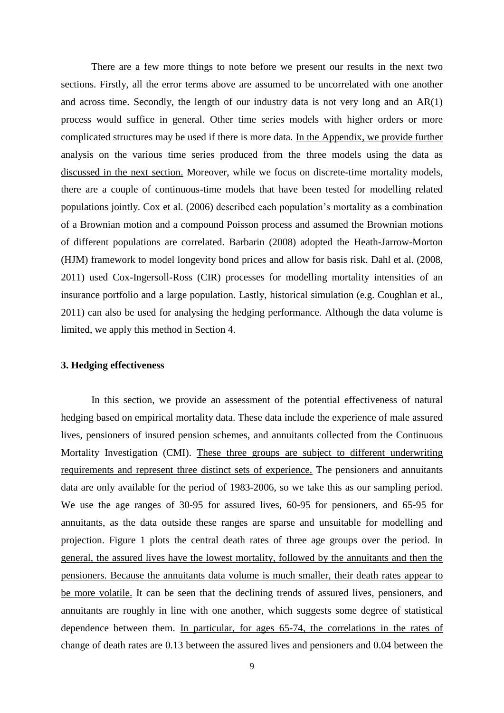There are a few more things to note before we present our results in the next two sections. Firstly, all the error terms above are assumed to be uncorrelated with one another and across time. Secondly, the length of our industry data is not very long and an AR(1) process would suffice in general. Other time series models with higher orders or more complicated structures may be used if there is more data. In the Appendix, we provide further analysis on the various time series produced from the three models using the data as discussed in the next section. Moreover, while we focus on discrete-time mortality models, there are a couple of continuous-time models that have been tested for modelling related populations jointly. Cox et al. (2006) described each population's mortality as a combination of a Brownian motion and a compound Poisson process and assumed the Brownian motions of different populations are correlated. Barbarin (2008) adopted the Heath-Jarrow-Morton (HJM) framework to model longevity bond prices and allow for basis risk. Dahl et al. (2008, 2011) used Cox-Ingersoll-Ross (CIR) processes for modelling mortality intensities of an insurance portfolio and a large population. Lastly, historical simulation (e.g. Coughlan et al., 2011) can also be used for analysing the hedging performance. Although the data volume is limited, we apply this method in Section 4.

#### **3. Hedging effectiveness**

In this section, we provide an assessment of the potential effectiveness of natural hedging based on empirical mortality data. These data include the experience of male assured lives, pensioners of insured pension schemes, and annuitants collected from the Continuous Mortality Investigation (CMI). These three groups are subject to different underwriting requirements and represent three distinct sets of experience. The pensioners and annuitants data are only available for the period of 1983-2006, so we take this as our sampling period. We use the age ranges of 30-95 for assured lives, 60-95 for pensioners, and 65-95 for annuitants, as the data outside these ranges are sparse and unsuitable for modelling and projection. Figure 1 plots the central death rates of three age groups over the period. In general, the assured lives have the lowest mortality, followed by the annuitants and then the pensioners. Because the annuitants data volume is much smaller, their death rates appear to be more volatile. It can be seen that the declining trends of assured lives, pensioners, and annuitants are roughly in line with one another, which suggests some degree of statistical dependence between them. In particular, for ages 65-74, the correlations in the rates of change of death rates are 0.13 between the assured lives and pensioners and 0.04 between the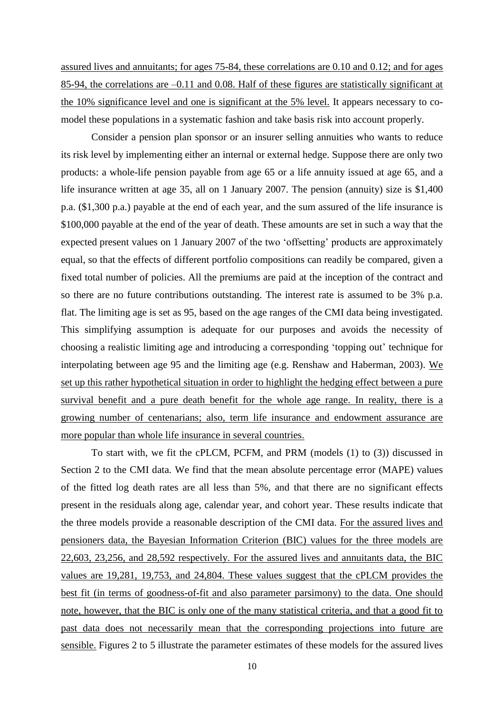assured lives and annuitants; for ages 75-84, these correlations are 0.10 and 0.12; and for ages 85-94, the correlations are  $-0.11$  and 0.08. Half of these figures are statistically significant at the 10% significance level and one is significant at the 5% level. It appears necessary to comodel these populations in a systematic fashion and take basis risk into account properly.

Consider a pension plan sponsor or an insurer selling annuities who wants to reduce its risk level by implementing either an internal or external hedge. Suppose there are only two products: a whole-life pension payable from age 65 or a life annuity issued at age 65, and a life insurance written at age 35, all on 1 January 2007. The pension (annuity) size is \$1,400 p.a. (\$1,300 p.a.) payable at the end of each year, and the sum assured of the life insurance is \$100,000 payable at the end of the year of death. These amounts are set in such a way that the expected present values on 1 January 2007 of the two 'offsetting' products are approximately equal, so that the effects of different portfolio compositions can readily be compared, given a fixed total number of policies. All the premiums are paid at the inception of the contract and so there are no future contributions outstanding. The interest rate is assumed to be 3% p.a. flat. The limiting age is set as 95, based on the age ranges of the CMI data being investigated. This simplifying assumption is adequate for our purposes and avoids the necessity of choosing a realistic limiting age and introducing a corresponding 'topping out' technique for interpolating between age 95 and the limiting age (e.g. Renshaw and Haberman, 2003). We set up this rather hypothetical situation in order to highlight the hedging effect between a pure survival benefit and a pure death benefit for the whole age range. In reality, there is a growing number of centenarians; also, term life insurance and endowment assurance are more popular than whole life insurance in several countries.

To start with, we fit the cPLCM, PCFM, and PRM (models (1) to (3)) discussed in Section 2 to the CMI data. We find that the mean absolute percentage error (MAPE) values of the fitted log death rates are all less than 5%, and that there are no significant effects present in the residuals along age, calendar year, and cohort year. These results indicate that the three models provide a reasonable description of the CMI data. For the assured lives and pensioners data, the Bayesian Information Criterion (BIC) values for the three models are 22,603, 23,256, and 28,592 respectively. For the assured lives and annuitants data, the BIC values are 19,281, 19,753, and 24,804. These values suggest that the cPLCM provides the best fit (in terms of goodness-of-fit and also parameter parsimony) to the data. One should note, however, that the BIC is only one of the many statistical criteria, and that a good fit to past data does not necessarily mean that the corresponding projections into future are sensible. Figures 2 to 5 illustrate the parameter estimates of these models for the assured lives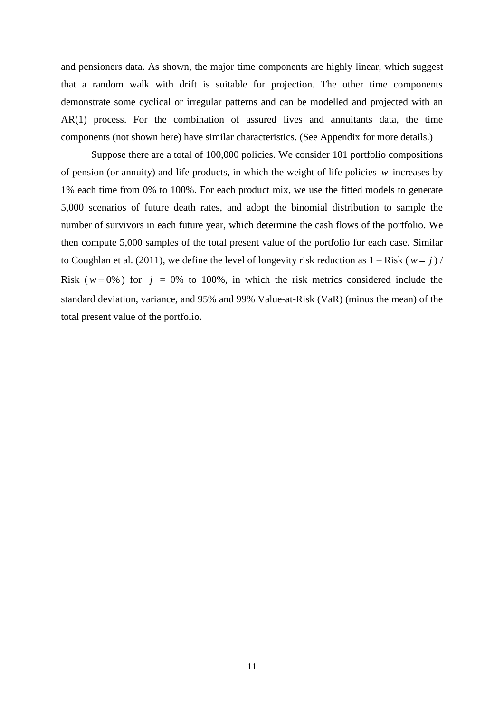and pensioners data. As shown, the major time components are highly linear, which suggest that a random walk with drift is suitable for projection. The other time components demonstrate some cyclical or irregular patterns and can be modelled and projected with an AR(1) process. For the combination of assured lives and annuitants data, the time components (not shown here) have similar characteristics. (See Appendix for more details.)

Suppose there are a total of 100,000 policies. We consider 101 portfolio compositions of pension (or annuity) and life products, in which the weight of life policies *w* increases by 1% each time from 0% to 100%. For each product mix, we use the fitted models to generate 5,000 scenarios of future death rates, and adopt the binomial distribution to sample the number of survivors in each future year, which determine the cash flows of the portfolio. We then compute 5,000 samples of the total present value of the portfolio for each case. Similar to Coughlan et al. (2011), we define the level of longevity risk reduction as  $1 - Risk (w = j) /$ Risk ( $w = 0$ %) for  $j = 0$ % to 100%, in which the risk metrics considered include the standard deviation, variance, and 95% and 99% Value-at-Risk (VaR) (minus the mean) of the total present value of the portfolio.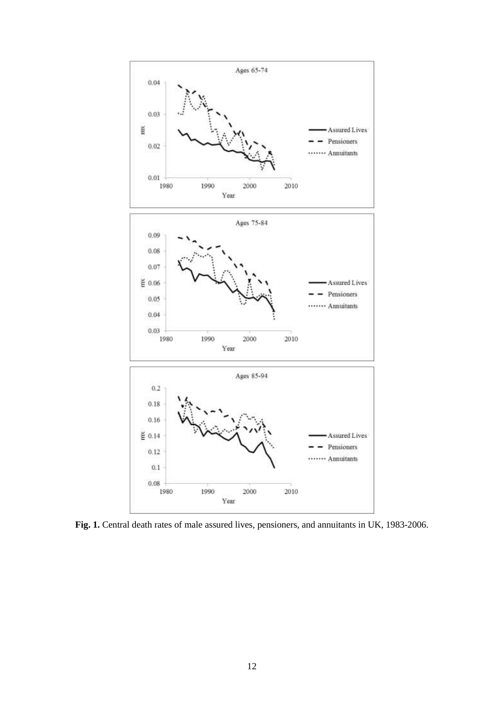

**Fig. 1.** Central death rates of male assured lives, pensioners, and annuitants in UK, 1983-2006.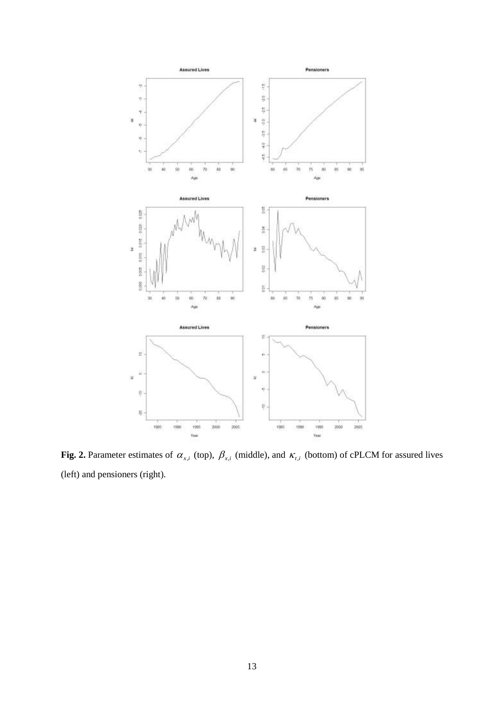

**Fig. 2.** Parameter estimates of  $\alpha_{x,i}$  (top),  $\beta_{x,i}$  (middle), and  $\kappa_{t,i}$  (bottom) of cPLCM for assured lives (left) and pensioners (right).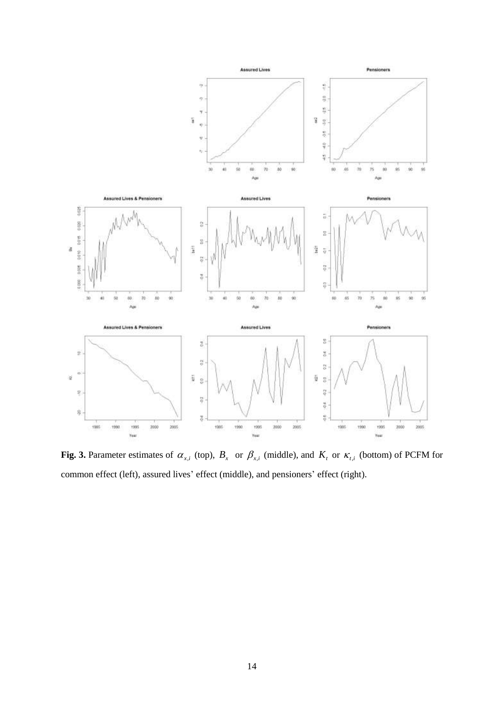

**Fig. 3.** Parameter estimates of  $\alpha_{x,i}$  (top),  $B_x$  or  $\beta_{x,i}$  (middle), and  $K_t$  or  $\kappa_{t,i}$  (bottom) of PCFM for common effect (left), assured lives' effect (middle), and pensioners' effect (right).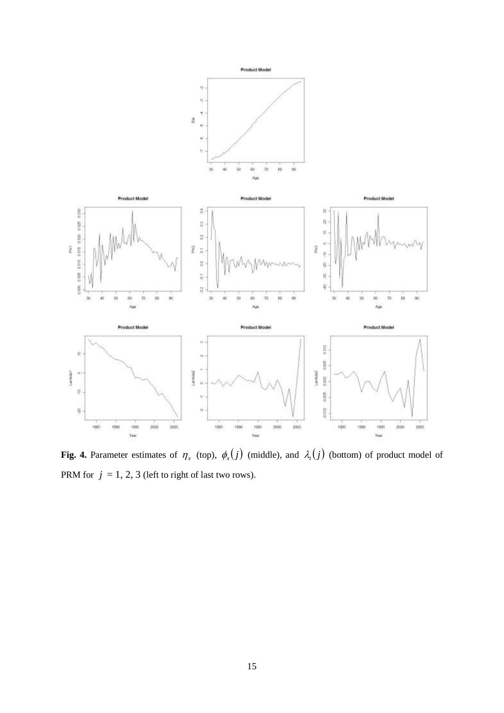

Fig. 4. Parameter estimates of  $\eta_x$  (top),  $\phi_x(j)$  (middle), and  $\lambda_i(j)$  (bottom) of product model of PRM for  $j = 1, 2, 3$  (left to right of last two rows).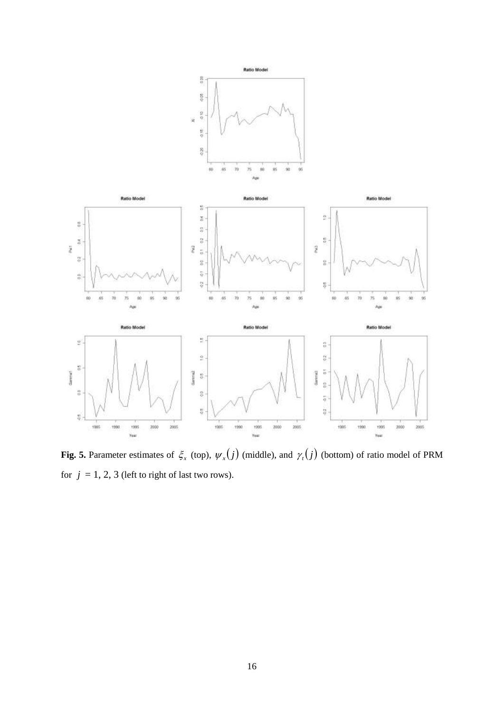

**Fig. 5.** Parameter estimates of  $\zeta_x$  (top),  $\psi_x(j)$  (middle), and  $\gamma_t(j)$  (bottom) of ratio model of PRM for  $j = 1, 2, 3$  (left to right of last two rows).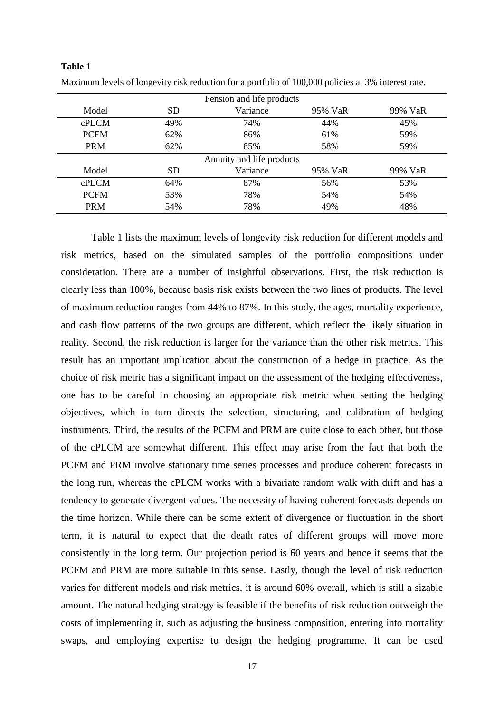|             |           | Pension and life products |         |         |
|-------------|-----------|---------------------------|---------|---------|
| Model       | <b>SD</b> | Variance                  | 95% VaR | 99% VaR |
| cPLCM       | 49%       | 74%                       | 44%     | 45%     |
| <b>PCFM</b> | 62%       | 86%                       | 61%     | 59%     |
| <b>PRM</b>  | 62%       | 85%                       | 58%     | 59%     |
|             |           | Annuity and life products |         |         |
| Model       | <b>SD</b> | Variance                  | 95% VaR | 99% VaR |
| cPLCM       | 64%       | 87%                       | 56%     | 53%     |
| <b>PCFM</b> | 53%       | 78%                       | 54%     | 54%     |
| <b>PRM</b>  | 54%       | 78%                       | 49%     | 48%     |

Maximum levels of longevity risk reduction for a portfolio of 100,000 policies at 3% interest rate.

**Table 1**

Table 1 lists the maximum levels of longevity risk reduction for different models and risk metrics, based on the simulated samples of the portfolio compositions under consideration. There are a number of insightful observations. First, the risk reduction is clearly less than 100%, because basis risk exists between the two lines of products. The level of maximum reduction ranges from 44% to 87%. In this study, the ages, mortality experience, and cash flow patterns of the two groups are different, which reflect the likely situation in reality. Second, the risk reduction is larger for the variance than the other risk metrics. This result has an important implication about the construction of a hedge in practice. As the choice of risk metric has a significant impact on the assessment of the hedging effectiveness, one has to be careful in choosing an appropriate risk metric when setting the hedging objectives, which in turn directs the selection, structuring, and calibration of hedging instruments. Third, the results of the PCFM and PRM are quite close to each other, but those of the cPLCM are somewhat different. This effect may arise from the fact that both the PCFM and PRM involve stationary time series processes and produce coherent forecasts in the long run, whereas the cPLCM works with a bivariate random walk with drift and has a tendency to generate divergent values. The necessity of having coherent forecasts depends on the time horizon. While there can be some extent of divergence or fluctuation in the short term, it is natural to expect that the death rates of different groups will move more consistently in the long term. Our projection period is 60 years and hence it seems that the PCFM and PRM are more suitable in this sense. Lastly, though the level of risk reduction varies for different models and risk metrics, it is around 60% overall, which is still a sizable amount. The natural hedging strategy is feasible if the benefits of risk reduction outweigh the costs of implementing it, such as adjusting the business composition, entering into mortality swaps, and employing expertise to design the hedging programme. It can be used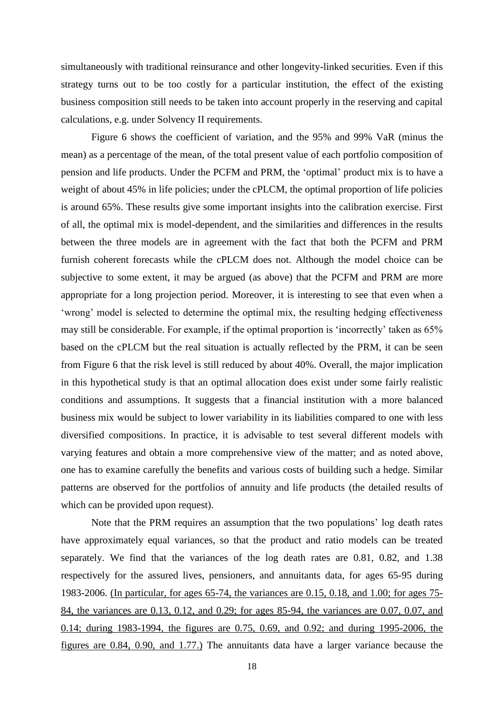simultaneously with traditional reinsurance and other longevity-linked securities. Even if this strategy turns out to be too costly for a particular institution, the effect of the existing business composition still needs to be taken into account properly in the reserving and capital calculations, e.g. under Solvency II requirements.

Figure 6 shows the coefficient of variation, and the 95% and 99% VaR (minus the mean) as a percentage of the mean, of the total present value of each portfolio composition of pension and life products. Under the PCFM and PRM, the 'optimal' product mix is to have a weight of about 45% in life policies; under the cPLCM, the optimal proportion of life policies is around 65%. These results give some important insights into the calibration exercise. First of all, the optimal mix is model-dependent, and the similarities and differences in the results between the three models are in agreement with the fact that both the PCFM and PRM furnish coherent forecasts while the cPLCM does not. Although the model choice can be subjective to some extent, it may be argued (as above) that the PCFM and PRM are more appropriate for a long projection period. Moreover, it is interesting to see that even when a 'wrong' model is selected to determine the optimal mix, the resulting hedging effectiveness may still be considerable. For example, if the optimal proportion is 'incorrectly' taken as 65% based on the cPLCM but the real situation is actually reflected by the PRM, it can be seen from Figure 6 that the risk level is still reduced by about 40%. Overall, the major implication in this hypothetical study is that an optimal allocation does exist under some fairly realistic conditions and assumptions. It suggests that a financial institution with a more balanced business mix would be subject to lower variability in its liabilities compared to one with less diversified compositions. In practice, it is advisable to test several different models with varying features and obtain a more comprehensive view of the matter; and as noted above, one has to examine carefully the benefits and various costs of building such a hedge. Similar patterns are observed for the portfolios of annuity and life products (the detailed results of which can be provided upon request).

Note that the PRM requires an assumption that the two populations' log death rates have approximately equal variances, so that the product and ratio models can be treated separately. We find that the variances of the log death rates are 0.81, 0.82, and 1.38 respectively for the assured lives, pensioners, and annuitants data, for ages 65-95 during 1983-2006. (In particular, for ages 65-74, the variances are 0.15, 0.18, and 1.00; for ages 75- 84, the variances are 0.13, 0.12, and 0.29; for ages 85-94, the variances are 0.07, 0.07, and 0.14; during 1983-1994, the figures are 0.75, 0.69, and 0.92; and during 1995-2006, the figures are 0.84, 0.90, and 1.77.) The annuitants data have a larger variance because the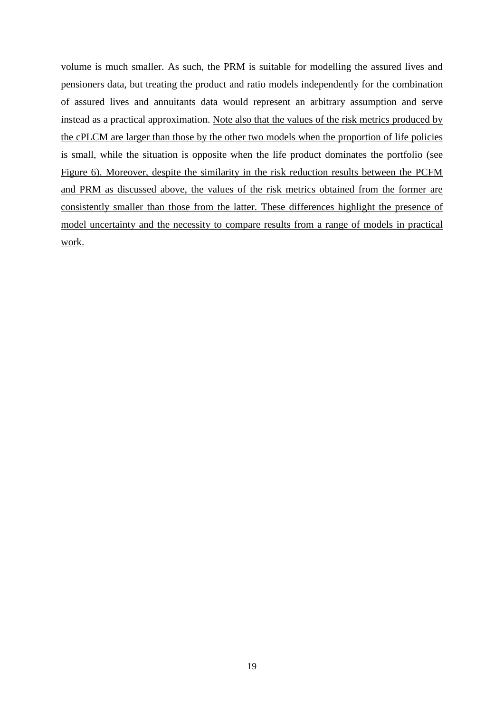volume is much smaller. As such, the PRM is suitable for modelling the assured lives and pensioners data, but treating the product and ratio models independently for the combination of assured lives and annuitants data would represent an arbitrary assumption and serve instead as a practical approximation. Note also that the values of the risk metrics produced by the cPLCM are larger than those by the other two models when the proportion of life policies is small, while the situation is opposite when the life product dominates the portfolio (see Figure 6). Moreover, despite the similarity in the risk reduction results between the PCFM and PRM as discussed above, the values of the risk metrics obtained from the former are consistently smaller than those from the latter. These differences highlight the presence of model uncertainty and the necessity to compare results from a range of models in practical work.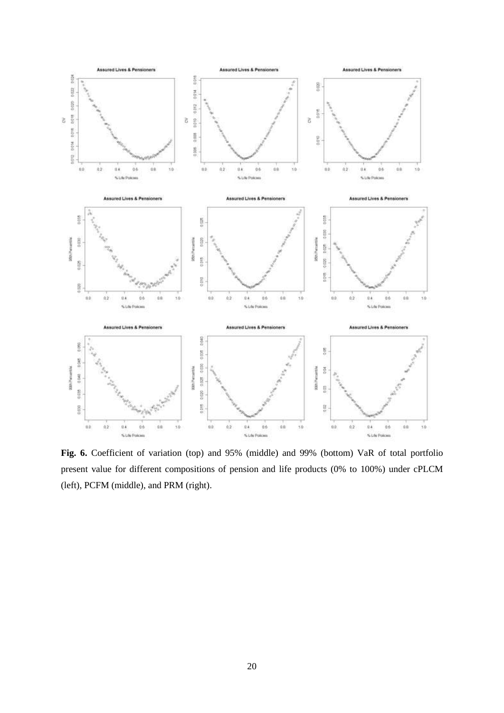

**Fig. 6.** Coefficient of variation (top) and 95% (middle) and 99% (bottom) VaR of total portfolio present value for different compositions of pension and life products (0% to 100%) under cPLCM (left), PCFM (middle), and PRM (right).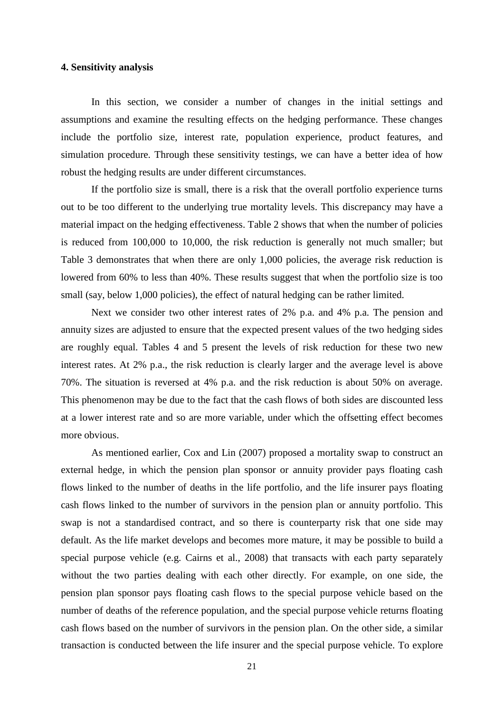#### **4. Sensitivity analysis**

In this section, we consider a number of changes in the initial settings and assumptions and examine the resulting effects on the hedging performance. These changes include the portfolio size, interest rate, population experience, product features, and simulation procedure. Through these sensitivity testings, we can have a better idea of how robust the hedging results are under different circumstances.

If the portfolio size is small, there is a risk that the overall portfolio experience turns out to be too different to the underlying true mortality levels. This discrepancy may have a material impact on the hedging effectiveness. Table 2 shows that when the number of policies is reduced from 100,000 to 10,000, the risk reduction is generally not much smaller; but Table 3 demonstrates that when there are only 1,000 policies, the average risk reduction is lowered from 60% to less than 40%. These results suggest that when the portfolio size is too small (say, below 1,000 policies), the effect of natural hedging can be rather limited.

Next we consider two other interest rates of 2% p.a. and 4% p.a. The pension and annuity sizes are adjusted to ensure that the expected present values of the two hedging sides are roughly equal. Tables 4 and 5 present the levels of risk reduction for these two new interest rates. At 2% p.a., the risk reduction is clearly larger and the average level is above 70%. The situation is reversed at 4% p.a. and the risk reduction is about 50% on average. This phenomenon may be due to the fact that the cash flows of both sides are discounted less at a lower interest rate and so are more variable, under which the offsetting effect becomes more obvious.

As mentioned earlier, Cox and Lin (2007) proposed a mortality swap to construct an external hedge, in which the pension plan sponsor or annuity provider pays floating cash flows linked to the number of deaths in the life portfolio, and the life insurer pays floating cash flows linked to the number of survivors in the pension plan or annuity portfolio. This swap is not a standardised contract, and so there is counterparty risk that one side may default. As the life market develops and becomes more mature, it may be possible to build a special purpose vehicle (e.g. Cairns et al., 2008) that transacts with each party separately without the two parties dealing with each other directly. For example, on one side, the pension plan sponsor pays floating cash flows to the special purpose vehicle based on the number of deaths of the reference population, and the special purpose vehicle returns floating cash flows based on the number of survivors in the pension plan. On the other side, a similar transaction is conducted between the life insurer and the special purpose vehicle. To explore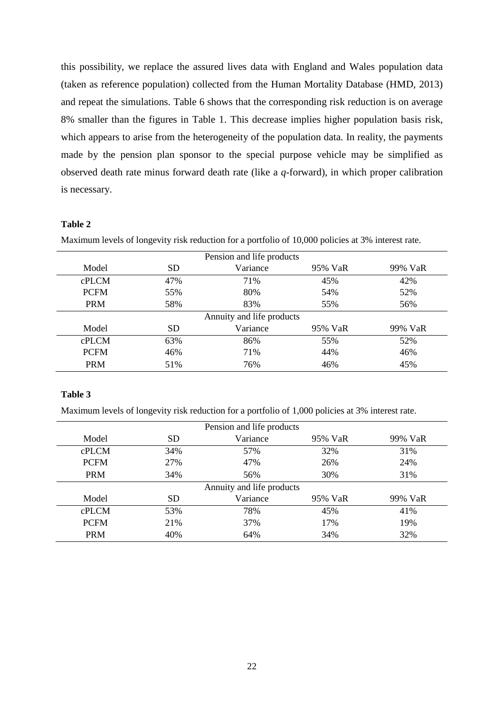this possibility, we replace the assured lives data with England and Wales population data (taken as reference population) collected from the Human Mortality Database (HMD, 2013) and repeat the simulations. Table 6 shows that the corresponding risk reduction is on average 8% smaller than the figures in Table 1. This decrease implies higher population basis risk, which appears to arise from the heterogeneity of the population data. In reality, the payments made by the pension plan sponsor to the special purpose vehicle may be simplified as observed death rate minus forward death rate (like a *q*-forward), in which proper calibration is necessary.

#### **Table 2**

|             |           | Pension and life products |         |         |
|-------------|-----------|---------------------------|---------|---------|
| Model       | <b>SD</b> | Variance                  | 95% VaR | 99% VaR |
| cPLCM       | 47%       | 71%                       | 45%     | 42%     |
| <b>PCFM</b> | 55%       | 80%                       | 54%     | 52%     |
| <b>PRM</b>  | 58%       | 83%                       | 55%     | 56%     |
|             |           | Annuity and life products |         |         |
| Model       | <b>SD</b> | Variance                  | 95% VaR | 99% VaR |
| cPLCM       | 63%       | 86%                       | 55%     | 52%     |
| <b>PCFM</b> | 46%       | 71%                       | 44%     | 46%     |
| <b>PRM</b>  | 51%       | 76%                       | 46%     | 45%     |

#### **Table 3**

Maximum levels of longevity risk reduction for a portfolio of 1,000 policies at 3% interest rate.

|             |           | Pension and life products |         |         |
|-------------|-----------|---------------------------|---------|---------|
| Model       | <b>SD</b> | Variance                  | 95% VaR | 99% VaR |
| cPLCM       | 34%       | 57%                       | 32%     | 31%     |
| <b>PCFM</b> | 27%       | 47%                       | 26%     | 24%     |
| <b>PRM</b>  | 34%       | 56%                       | 30%     | 31%     |
|             |           | Annuity and life products |         |         |
| Model       | <b>SD</b> | Variance                  | 95% VaR | 99% VaR |
| cPLCM       | 53%       | 78%                       | 45%     | 41%     |
| <b>PCFM</b> | 21%       | 37%                       | 17%     | 19%     |
| <b>PRM</b>  | 40%       | 64%                       | 34%     | 32%     |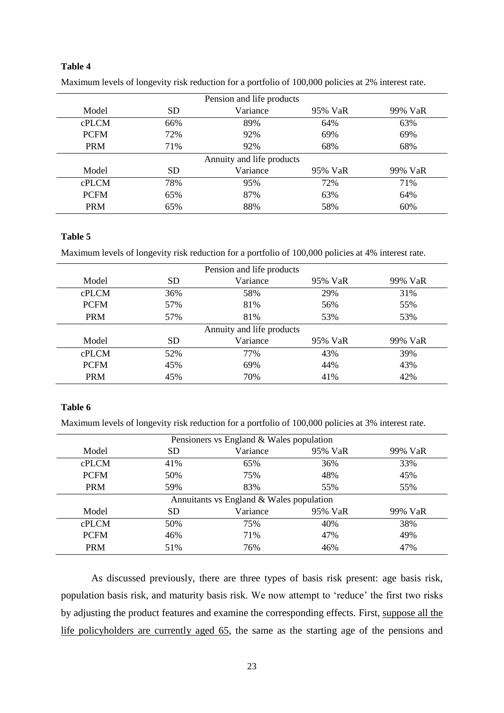#### **Table 4**

|             |           | Pension and life products |         |         |
|-------------|-----------|---------------------------|---------|---------|
| Model       | <b>SD</b> | Variance                  | 95% VaR | 99% VaR |
| cPLCM       | 66%       | 89%                       | 64%     | 63%     |
| <b>PCFM</b> | 72%       | 92%                       | 69%     | 69%     |
| <b>PRM</b>  | 71%       | 92%                       | 68%     | 68%     |
|             |           | Annuity and life products |         |         |
| Model       | <b>SD</b> | Variance                  | 95% VaR | 99% VaR |
| cPLCM       | 78%       | 95%                       | 72%     | 71%     |
| <b>PCFM</b> | 65%       | 87%                       | 63%     | 64%     |
| <b>PRM</b>  | 65%       | 88%                       | 58%     | 60%     |

Maximum levels of longevity risk reduction for a portfolio of 100,000 policies at 2% interest rate.

#### **Table 5**

Maximum levels of longevity risk reduction for a portfolio of 100,000 policies at 4% interest rate.

|             |           | Pension and life products |         |         |
|-------------|-----------|---------------------------|---------|---------|
| Model       | <b>SD</b> | Variance                  | 95% VaR | 99% VaR |
| cPLCM       | 36%       | 58%                       | 29%     | 31%     |
| <b>PCFM</b> | 57%       | 81%                       | 56%     | 55%     |
| <b>PRM</b>  | 57%       | 81%                       | 53%     | 53%     |
|             |           | Annuity and life products |         |         |
| Model       | <b>SD</b> | Variance                  | 95% VaR | 99% VaR |
| cPLCM       | 52%       | 77%                       | 43%     | 39%     |
| <b>PCFM</b> | 45%       | 69%                       | 44%     | 43%     |
| <b>PRM</b>  | 45%       | 70%                       | 41%     | 42%     |

#### **Table 6**

Maximum levels of longevity risk reduction for a portfolio of 100,000 policies at 3% interest rate.

|             |           | Pensioners vs England & Wales population |         |         |
|-------------|-----------|------------------------------------------|---------|---------|
| Model       | <b>SD</b> | Variance                                 | 95% VaR | 99% VaR |
| cPLCM       | 41%       | 65%                                      | 36%     | 33%     |
| <b>PCFM</b> | 50%       | 75%                                      | 48%     | 45%     |
| <b>PRM</b>  | 59%       | 83%                                      | 55%     | 55%     |
|             |           | Annuitants vs England & Wales population |         |         |
| Model       | <b>SD</b> | Variance                                 | 95% VaR | 99% VaR |
| cPLCM       | 50%       | 75%                                      | 40%     | 38%     |
| <b>PCFM</b> | 46%       | 71%                                      | 47%     | 49%     |
| <b>PRM</b>  | 51%       | 76%                                      | 46%     | 47%     |

As discussed previously, there are three types of basis risk present: age basis risk, population basis risk, and maturity basis risk. We now attempt to 'reduce' the first two risks by adjusting the product features and examine the corresponding effects. First, suppose all the life policyholders are currently aged 65, the same as the starting age of the pensions and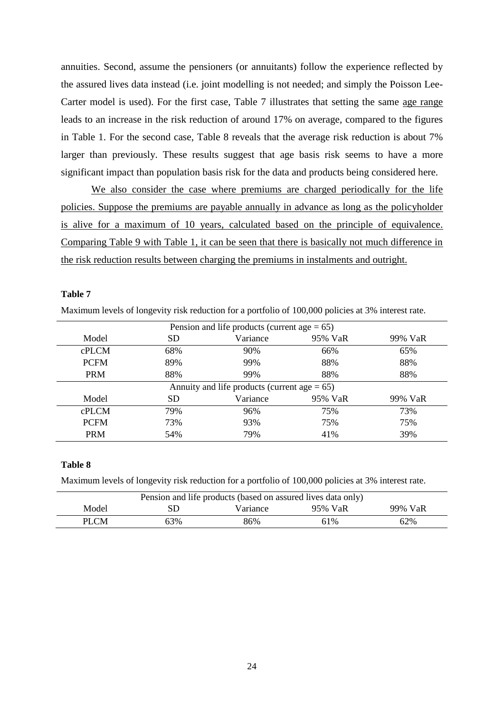annuities. Second, assume the pensioners (or annuitants) follow the experience reflected by the assured lives data instead (i.e. joint modelling is not needed; and simply the Poisson Lee-Carter model is used). For the first case, Table 7 illustrates that setting the same age range leads to an increase in the risk reduction of around 17% on average, compared to the figures in Table 1. For the second case, Table 8 reveals that the average risk reduction is about 7% larger than previously. These results suggest that age basis risk seems to have a more significant impact than population basis risk for the data and products being considered here.

We also consider the case where premiums are charged periodically for the life policies. Suppose the premiums are payable annually in advance as long as the policyholder is alive for a maximum of 10 years, calculated based on the principle of equivalence. Comparing Table 9 with Table 1, it can be seen that there is basically not much difference in the risk reduction results between charging the premiums in instalments and outright.

#### **Table 7**

Maximum levels of longevity risk reduction for a portfolio of 100,000 policies at 3% interest rate.

|             |           | Pension and life products (current $age = 65$ ) |         |         |
|-------------|-----------|-------------------------------------------------|---------|---------|
| Model       | <b>SD</b> | Variance                                        | 95% VaR | 99% VaR |
| cPLCM       | 68%       | 90%                                             | 66%     | 65%     |
| <b>PCFM</b> | 89%       | 99%                                             | 88%     | 88%     |
| <b>PRM</b>  | 88%       | 99%                                             | 88%     | 88%     |
|             |           | Annuity and life products (current $age = 65$ ) |         |         |
| Model       | <b>SD</b> | Variance                                        | 95% VaR | 99% VaR |
| cPLCM       | 79%       | 96%                                             | 75%     | 73%     |
| <b>PCFM</b> | 73%       | 93%                                             | 75%     | 75%     |
| <b>PRM</b>  | 54%       | 79%                                             | 41%     | 39%     |

#### **Table 8**

Maximum levels of longevity risk reduction for a portfolio of 100,000 policies at 3% interest rate.

| Pension and life products (based on assured lives data only) |     |          |         |         |
|--------------------------------------------------------------|-----|----------|---------|---------|
| Model                                                        | SD  | Variance | 95% VaR | 99% VaR |
| PLCM                                                         | 63% | 86%      | 61%     | 62%     |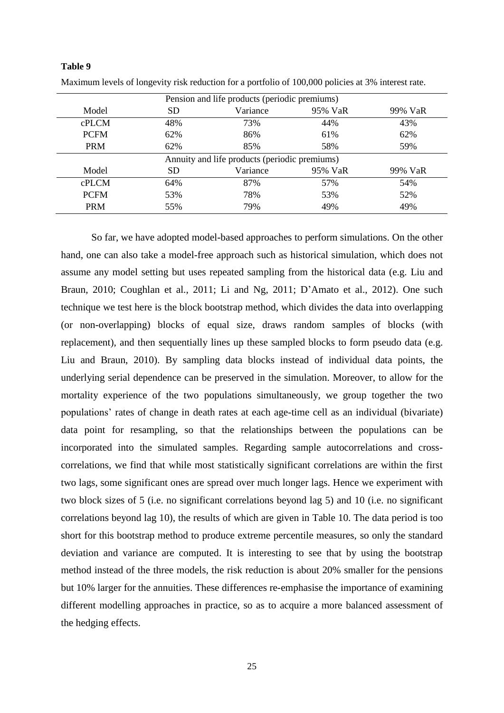|                                               |           | Pension and life products (periodic premiums) |         |         |
|-----------------------------------------------|-----------|-----------------------------------------------|---------|---------|
| Model                                         | <b>SD</b> | Variance                                      | 95% VaR | 99% VaR |
| cPLCM                                         | 48%       | 73%                                           | 44%     | 43%     |
| <b>PCFM</b>                                   | 62%       | 86%                                           | 61%     | 62%     |
| <b>PRM</b>                                    | 62%       | 85%                                           | 58%     | 59%     |
| Annuity and life products (periodic premiums) |           |                                               |         |         |
| Model                                         | <b>SD</b> | Variance                                      | 95% VaR | 99% VaR |
| <b>cPLCM</b>                                  | 64%       | 87%                                           | 57%     | 54%     |
| <b>PCFM</b>                                   | 53%       | 78%                                           | 53%     | 52%     |
| <b>PRM</b>                                    | 55%       | 79%                                           | 49%     | 49%     |

Maximum levels of longevity risk reduction for a portfolio of 100,000 policies at 3% interest rate.

**Table 9**

So far, we have adopted model-based approaches to perform simulations. On the other hand, one can also take a model-free approach such as historical simulation, which does not assume any model setting but uses repeated sampling from the historical data (e.g. Liu and Braun, 2010; Coughlan et al., 2011; Li and Ng, 2011; D'Amato et al., 2012). One such technique we test here is the block bootstrap method, which divides the data into overlapping (or non-overlapping) blocks of equal size, draws random samples of blocks (with replacement), and then sequentially lines up these sampled blocks to form pseudo data (e.g. Liu and Braun, 2010). By sampling data blocks instead of individual data points, the underlying serial dependence can be preserved in the simulation. Moreover, to allow for the mortality experience of the two populations simultaneously, we group together the two populations' rates of change in death rates at each age-time cell as an individual (bivariate) data point for resampling, so that the relationships between the populations can be incorporated into the simulated samples. Regarding sample autocorrelations and crosscorrelations, we find that while most statistically significant correlations are within the first two lags, some significant ones are spread over much longer lags. Hence we experiment with two block sizes of 5 (i.e. no significant correlations beyond lag 5) and 10 (i.e. no significant correlations beyond lag 10), the results of which are given in Table 10. The data period is too short for this bootstrap method to produce extreme percentile measures, so only the standard deviation and variance are computed. It is interesting to see that by using the bootstrap method instead of the three models, the risk reduction is about 20% smaller for the pensions but 10% larger for the annuities. These differences re-emphasise the importance of examining different modelling approaches in practice, so as to acquire a more balanced assessment of the hedging effects.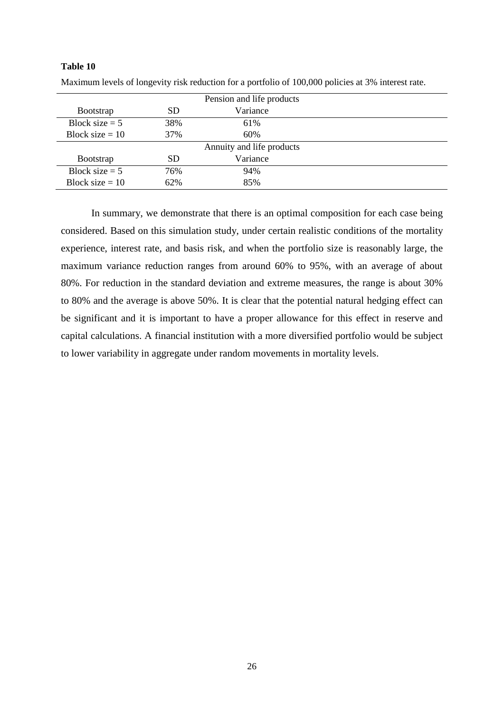#### **Table 10**

|                   |                           | Pension and life products |  |  |
|-------------------|---------------------------|---------------------------|--|--|
| <b>B</b> ootstrap | <b>SD</b>                 | Variance                  |  |  |
| Block size $= 5$  | 38%                       | 61%                       |  |  |
| Block size $= 10$ | 37%                       | 60%                       |  |  |
|                   | Annuity and life products |                           |  |  |
| <b>B</b> ootstrap | <b>SD</b>                 | Variance                  |  |  |
| Block size $= 5$  | 76%                       | 94%                       |  |  |
| Block size $= 10$ | 62%                       | 85%                       |  |  |

Maximum levels of longevity risk reduction for a portfolio of 100,000 policies at 3% interest rate.

In summary, we demonstrate that there is an optimal composition for each case being considered. Based on this simulation study, under certain realistic conditions of the mortality experience, interest rate, and basis risk, and when the portfolio size is reasonably large, the maximum variance reduction ranges from around 60% to 95%, with an average of about 80%. For reduction in the standard deviation and extreme measures, the range is about 30% to 80% and the average is above 50%. It is clear that the potential natural hedging effect can be significant and it is important to have a proper allowance for this effect in reserve and capital calculations. A financial institution with a more diversified portfolio would be subject to lower variability in aggregate under random movements in mortality levels.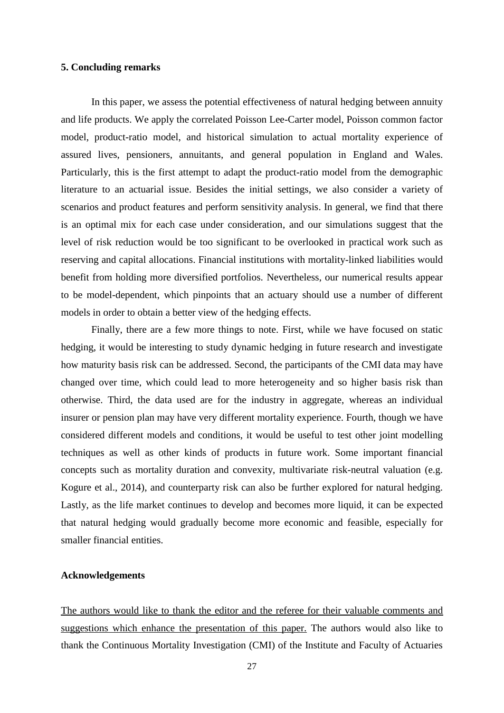#### **5. Concluding remarks**

In this paper, we assess the potential effectiveness of natural hedging between annuity and life products. We apply the correlated Poisson Lee-Carter model, Poisson common factor model, product-ratio model, and historical simulation to actual mortality experience of assured lives, pensioners, annuitants, and general population in England and Wales. Particularly, this is the first attempt to adapt the product-ratio model from the demographic literature to an actuarial issue. Besides the initial settings, we also consider a variety of scenarios and product features and perform sensitivity analysis. In general, we find that there is an optimal mix for each case under consideration, and our simulations suggest that the level of risk reduction would be too significant to be overlooked in practical work such as reserving and capital allocations. Financial institutions with mortality-linked liabilities would benefit from holding more diversified portfolios. Nevertheless, our numerical results appear to be model-dependent, which pinpoints that an actuary should use a number of different models in order to obtain a better view of the hedging effects.

Finally, there are a few more things to note. First, while we have focused on static hedging, it would be interesting to study dynamic hedging in future research and investigate how maturity basis risk can be addressed. Second, the participants of the CMI data may have changed over time, which could lead to more heterogeneity and so higher basis risk than otherwise. Third, the data used are for the industry in aggregate, whereas an individual insurer or pension plan may have very different mortality experience. Fourth, though we have considered different models and conditions, it would be useful to test other joint modelling techniques as well as other kinds of products in future work. Some important financial concepts such as mortality duration and convexity, multivariate risk-neutral valuation (e.g. Kogure et al., 2014), and counterparty risk can also be further explored for natural hedging. Lastly, as the life market continues to develop and becomes more liquid, it can be expected that natural hedging would gradually become more economic and feasible, especially for smaller financial entities.

#### **Acknowledgements**

The authors would like to thank the editor and the referee for their valuable comments and suggestions which enhance the presentation of this paper. The authors would also like to thank the Continuous Mortality Investigation (CMI) of the Institute and Faculty of Actuaries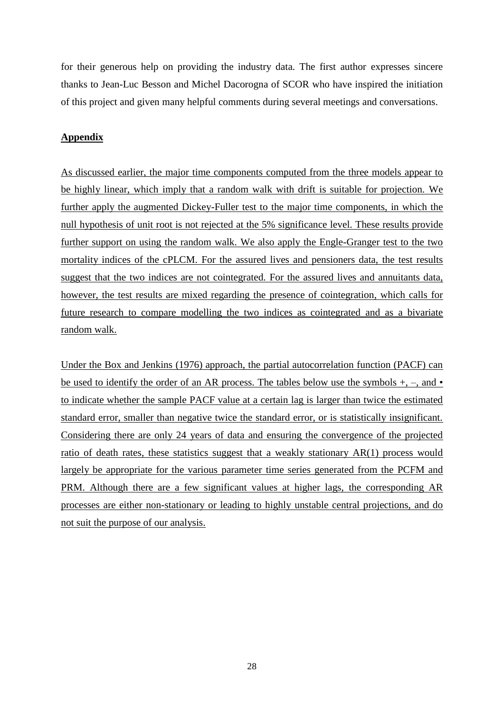for their generous help on providing the industry data. The first author expresses sincere thanks to Jean-Luc Besson and Michel Dacorogna of SCOR who have inspired the initiation of this project and given many helpful comments during several meetings and conversations.

#### **Appendix**

As discussed earlier, the major time components computed from the three models appear to be highly linear, which imply that a random walk with drift is suitable for projection. We further apply the augmented Dickey-Fuller test to the major time components, in which the null hypothesis of unit root is not rejected at the 5% significance level. These results provide further support on using the random walk. We also apply the Engle-Granger test to the two mortality indices of the cPLCM. For the assured lives and pensioners data, the test results suggest that the two indices are not cointegrated. For the assured lives and annuitants data, however, the test results are mixed regarding the presence of cointegration, which calls for future research to compare modelling the two indices as cointegrated and as a bivariate random walk.

Under the Box and Jenkins (1976) approach, the partial autocorrelation function (PACF) can be used to identify the order of an AR process. The tables below use the symbols  $+, -$ , and  $\bullet$ to indicate whether the sample PACF value at a certain lag is larger than twice the estimated standard error, smaller than negative twice the standard error, or is statistically insignificant. Considering there are only 24 years of data and ensuring the convergence of the projected ratio of death rates, these statistics suggest that a weakly stationary AR(1) process would largely be appropriate for the various parameter time series generated from the PCFM and PRM. Although there are a few significant values at higher lags, the corresponding AR processes are either non-stationary or leading to highly unstable central projections, and do not suit the purpose of our analysis.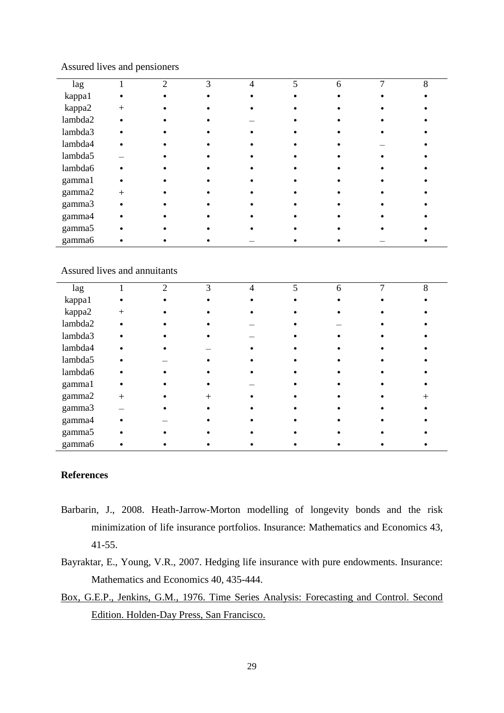| lag     |   | $\overline{2}$ |  | 5 | h | 8 |
|---------|---|----------------|--|---|---|---|
| kappa1  |   |                |  |   |   |   |
| kappa2  | + |                |  |   |   |   |
| lambda2 |   |                |  |   |   |   |
| lambda3 |   |                |  |   |   |   |
| lambda4 |   |                |  |   |   |   |
| lambda5 |   |                |  |   |   |   |
| lambda6 |   |                |  |   |   |   |
| gamma1  |   |                |  |   |   |   |
| gamma2  |   |                |  |   |   |   |
| gamma3  |   |                |  |   |   |   |
| gamma4  |   |                |  |   |   |   |
| gamma5  |   |                |  |   |   |   |
| gamma6  |   |                |  |   |   |   |

Assured lives and pensioners

#### Assured lives and annuitants

| lag     | ◠ | 3 |  | h | O |  |
|---------|---|---|--|---|---|--|
| kappa1  |   |   |  |   |   |  |
| kappa2  |   |   |  |   |   |  |
| lambda2 |   |   |  |   |   |  |
| lambda3 |   |   |  |   |   |  |
| lambda4 |   |   |  |   |   |  |
| lambda5 |   |   |  |   |   |  |
| lambda6 |   |   |  |   |   |  |
| gamma1  |   |   |  |   |   |  |
| gamma2  |   |   |  |   |   |  |
| gamma3  |   |   |  |   |   |  |
| gamma4  |   |   |  |   |   |  |
| gamma5  |   |   |  |   |   |  |
| gamma6  |   |   |  |   |   |  |
|         |   |   |  |   |   |  |

#### **References**

- Barbarin, J., 2008. Heath-Jarrow-Morton modelling of longevity bonds and the risk minimization of life insurance portfolios. Insurance: Mathematics and Economics 43, 41-55.
- Bayraktar, E., Young, V.R., 2007. Hedging life insurance with pure endowments. Insurance: Mathematics and Economics 40, 435-444.
- Box, G.E.P., Jenkins, G.M., 1976. Time Series Analysis: Forecasting and Control. Second Edition. Holden-Day Press, San Francisco.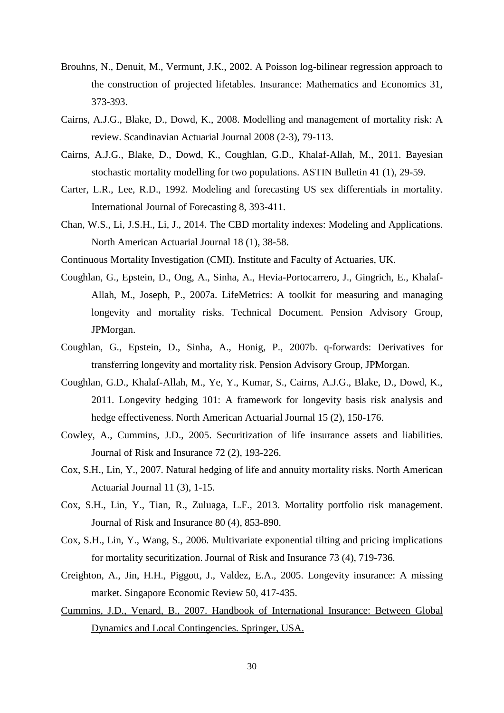- Brouhns, N., Denuit, M., Vermunt, J.K., 2002. A Poisson log-bilinear regression approach to the construction of projected lifetables. Insurance: Mathematics and Economics 31, 373-393.
- Cairns, A.J.G., Blake, D., Dowd, K., 2008. Modelling and management of mortality risk: A review. Scandinavian Actuarial Journal 2008 (2-3), 79-113.
- Cairns, A.J.G., Blake, D., Dowd, K., Coughlan, G.D., Khalaf-Allah, M., 2011. Bayesian stochastic mortality modelling for two populations. ASTIN Bulletin 41 (1), 29-59.
- Carter, L.R., Lee, R.D., 1992. Modeling and forecasting US sex differentials in mortality. International Journal of Forecasting 8, 393-411.
- Chan, W.S., Li, J.S.H., Li, J., 2014. The CBD mortality indexes: Modeling and Applications. North American Actuarial Journal 18 (1), 38-58.
- Continuous Mortality Investigation (CMI). Institute and Faculty of Actuaries, UK.
- Coughlan, G., Epstein, D., Ong, A., Sinha, A., Hevia-Portocarrero, J., Gingrich, E., Khalaf-Allah, M., Joseph, P., 2007a. LifeMetrics: A toolkit for measuring and managing longevity and mortality risks. Technical Document. Pension Advisory Group, JPMorgan.
- Coughlan, G., Epstein, D., Sinha, A., Honig, P., 2007b. q-forwards: Derivatives for transferring longevity and mortality risk. Pension Advisory Group, JPMorgan.
- Coughlan, G.D., Khalaf-Allah, M., Ye, Y., Kumar, S., Cairns, A.J.G., Blake, D., Dowd, K., 2011. Longevity hedging 101: A framework for longevity basis risk analysis and hedge effectiveness. North American Actuarial Journal 15 (2), 150-176.
- Cowley, A., Cummins, J.D., 2005. Securitization of life insurance assets and liabilities. Journal of Risk and Insurance 72 (2), 193-226.
- Cox, S.H., Lin, Y., 2007. Natural hedging of life and annuity mortality risks. North American Actuarial Journal 11 (3), 1-15.
- Cox, S.H., Lin, Y., Tian, R., Zuluaga, L.F., 2013. Mortality portfolio risk management. Journal of Risk and Insurance 80 (4), 853-890.
- Cox, S.H., Lin, Y., Wang, S., 2006. Multivariate exponential tilting and pricing implications for mortality securitization. Journal of Risk and Insurance 73 (4), 719-736.
- Creighton, A., Jin, H.H., Piggott, J., Valdez, E.A., 2005. Longevity insurance: A missing market. Singapore Economic Review 50, 417-435.
- Cummins, J.D., Venard, B., 2007. Handbook of International Insurance: Between Global Dynamics and Local Contingencies. Springer, USA.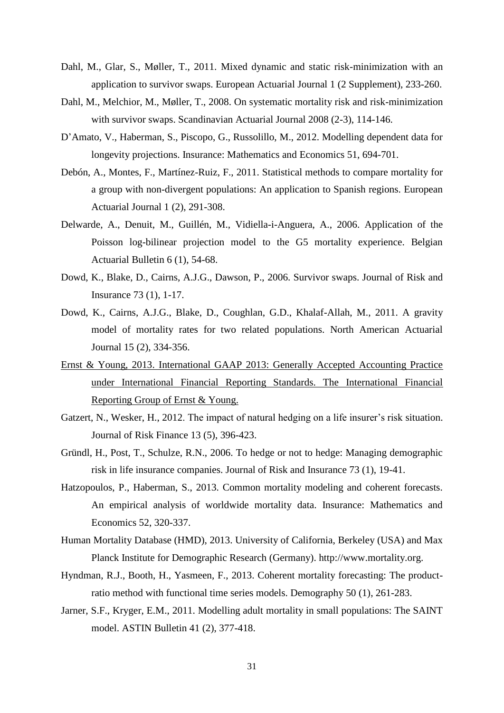- Dahl, M., Glar, S., Møller, T., 2011. Mixed dynamic and static risk-minimization with an application to survivor swaps. European Actuarial Journal 1 (2 Supplement), 233-260.
- Dahl, M., Melchior, M., Møller, T., 2008. On systematic mortality risk and risk-minimization with survivor swaps. Scandinavian Actuarial Journal 2008 (2-3), 114-146.
- D'Amato, V., Haberman, S., Piscopo, G., Russolillo, M., 2012. Modelling dependent data for longevity projections. Insurance: Mathematics and Economics 51, 694-701.
- Debón, A., Montes, F., Martínez-Ruiz, F., 2011. Statistical methods to compare mortality for a group with non-divergent populations: An application to Spanish regions. European Actuarial Journal 1 (2), 291-308.
- Delwarde, A., Denuit, M., Guillén, M., Vidiella-i-Anguera, A., 2006. Application of the Poisson log-bilinear projection model to the G5 mortality experience. Belgian Actuarial Bulletin 6 (1), 54-68.
- Dowd, K., Blake, D., Cairns, A.J.G., Dawson, P., 2006. Survivor swaps. Journal of Risk and Insurance 73 (1), 1-17.
- Dowd, K., Cairns, A.J.G., Blake, D., Coughlan, G.D., Khalaf-Allah, M., 2011. A gravity model of mortality rates for two related populations. North American Actuarial Journal 15 (2), 334-356.
- Ernst & Young, 2013. International GAAP 2013: Generally Accepted Accounting Practice under International Financial Reporting Standards. The International Financial Reporting Group of Ernst & Young.
- Gatzert, N., Wesker, H., 2012. The impact of natural hedging on a life insurer's risk situation. Journal of Risk Finance 13 (5), 396-423.
- Gründl, H., Post, T., Schulze, R.N., 2006. To hedge or not to hedge: Managing demographic risk in life insurance companies. Journal of Risk and Insurance 73 (1), 19-41.
- Hatzopoulos, P., Haberman, S., 2013. Common mortality modeling and coherent forecasts. An empirical analysis of worldwide mortality data. Insurance: Mathematics and Economics 52, 320-337.
- Human Mortality Database (HMD), 2013. University of California, Berkeley (USA) and Max Planck Institute for Demographic Research (Germany). http://www.mortality.org.
- Hyndman, R.J., Booth, H., Yasmeen, F., 2013. Coherent mortality forecasting: The productratio method with functional time series models. Demography 50 (1), 261-283.
- Jarner, S.F., Kryger, E.M., 2011. Modelling adult mortality in small populations: The SAINT model. ASTIN Bulletin 41 (2), 377-418.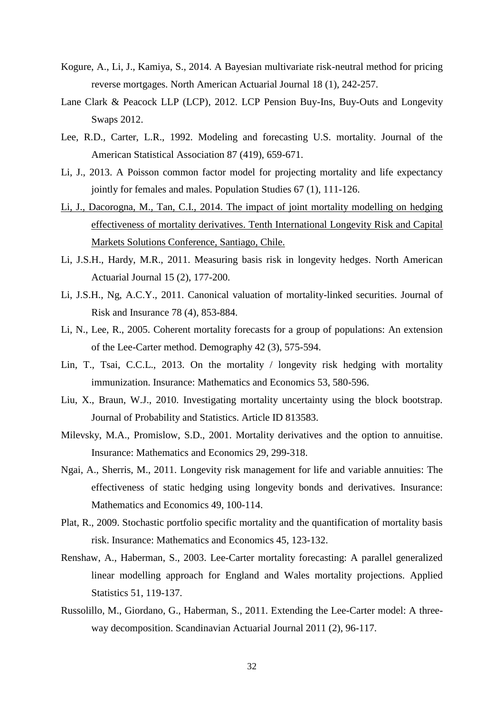- Kogure, A., Li, J., Kamiya, S., 2014. A Bayesian multivariate risk-neutral method for pricing reverse mortgages. North American Actuarial Journal 18 (1), 242-257.
- Lane Clark & Peacock LLP (LCP), 2012. LCP Pension Buy-Ins, Buy-Outs and Longevity Swaps 2012.
- Lee, R.D., Carter, L.R., 1992. Modeling and forecasting U.S. mortality. Journal of the American Statistical Association 87 (419), 659-671.
- Li, J., 2013. A Poisson common factor model for projecting mortality and life expectancy jointly for females and males. Population Studies 67 (1), 111-126.
- Li, J., Dacorogna, M., Tan, C.I., 2014. The impact of joint mortality modelling on hedging effectiveness of mortality derivatives. Tenth International Longevity Risk and Capital Markets Solutions Conference, Santiago, Chile.
- Li, J.S.H., Hardy, M.R., 2011. Measuring basis risk in longevity hedges. North American Actuarial Journal 15 (2), 177-200.
- Li, J.S.H., Ng, A.C.Y., 2011. Canonical valuation of mortality-linked securities. Journal of Risk and Insurance 78 (4), 853-884.
- Li, N., Lee, R., 2005. Coherent mortality forecasts for a group of populations: An extension of the Lee-Carter method. Demography 42 (3), 575-594.
- Lin, T., Tsai, C.C.L., 2013. On the mortality / longevity risk hedging with mortality immunization. Insurance: Mathematics and Economics 53, 580-596.
- Liu, X., Braun, W.J., 2010. Investigating mortality uncertainty using the block bootstrap. Journal of Probability and Statistics. Article ID 813583.
- Milevsky, M.A., Promislow, S.D., 2001. Mortality derivatives and the option to annuitise. Insurance: Mathematics and Economics 29, 299-318.
- Ngai, A., Sherris, M., 2011. Longevity risk management for life and variable annuities: The effectiveness of static hedging using longevity bonds and derivatives. Insurance: Mathematics and Economics 49, 100-114.
- Plat, R., 2009. Stochastic portfolio specific mortality and the quantification of mortality basis risk. Insurance: Mathematics and Economics 45, 123-132.
- Renshaw, A., Haberman, S., 2003. Lee-Carter mortality forecasting: A parallel generalized linear modelling approach for England and Wales mortality projections. Applied Statistics 51, 119-137.
- Russolillo, M., Giordano, G., Haberman, S., 2011. Extending the Lee-Carter model: A threeway decomposition. Scandinavian Actuarial Journal 2011 (2), 96-117.